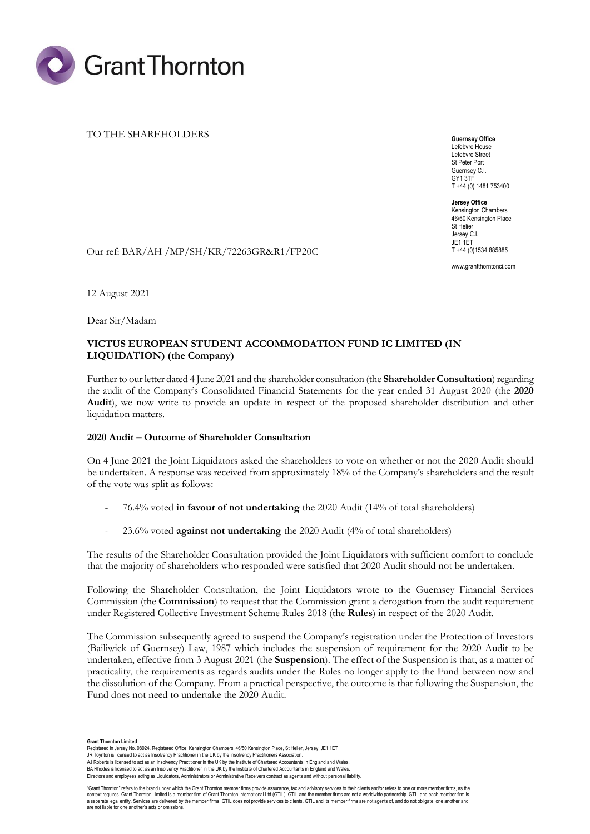

## TO THE SHAREHOLDERS

**Guernsey Office** Lefebvre House Lefebvre Street St Peter Port Guernsey C.I. GY1 3TF T +44 (0) 1481 753400

**Jersey Office** Kensington Chambers 46/50 Kensington Place St Helier Jersey C.I. JE1 1ET T +44 (0)1534 885885

www.grantthorntonci.com

Our ref: BAR/AH /MP/SH/KR/72263GR&R1/FP20C

12 August 2021

Dear Sir/Madam

# **VICTUS EUROPEAN STUDENT ACCOMMODATION FUND IC LIMITED (IN LIQUIDATION) (the Company)**

Further to our letter dated 4 June 2021 and the shareholder consultation (the **Shareholder Consultation**) regarding the audit of the Company's Consolidated Financial Statements for the year ended 31 August 2020 (the **2020 Audit**), we now write to provide an update in respect of the proposed shareholder distribution and other liquidation matters.

# **2020 Audit – Outcome of Shareholder Consultation**

On 4 June 2021 the Joint Liquidators asked the shareholders to vote on whether or not the 2020 Audit should be undertaken. A response was received from approximately 18% of the Company's shareholders and the result of the vote was split as follows:

- 76.4% voted **in favour of not undertaking** the 2020 Audit (14% of total shareholders)
- 23.6% voted **against not undertaking** the 2020 Audit (4% of total shareholders)

The results of the Shareholder Consultation provided the Joint Liquidators with sufficient comfort to conclude that the majority of shareholders who responded were satisfied that 2020 Audit should not be undertaken.

Following the Shareholder Consultation, the Joint Liquidators wrote to the Guernsey Financial Services Commission (the **Commission**) to request that the Commission grant a derogation from the audit requirement under Registered Collective Investment Scheme Rules 2018 (the **Rules**) in respect of the 2020 Audit.

The Commission subsequently agreed to suspend the Company's registration under the Protection of Investors (Bailiwick of Guernsey) Law, 1987 which includes the suspension of requirement for the 2020 Audit to be undertaken, effective from 3 August 2021 (the **Suspension**). The effect of the Suspension is that, as a matter of practicality, the requirements as regards audits under the Rules no longer apply to the Fund between now and the dissolution of the Company. From a practical perspective, the outcome is that following the Suspension, the Fund does not need to undertake the 2020 Audit.

**Grant Thornton Limited**<br>Registered in Jersey No. 98924. Registered Office: Kensington Chambers, 46/50 Kensington Place, St Helier, Jersey, JE1 1ET

BA Rhodes is licensed to act as an Insolvency Practitioner in the UK by the Institute of Chartered Accountants in England and Wales. Directors and employees acting as Liquidators, Administrators or Administrative Receivers contract as agents and without personal liability.

"Grant Thornton" refers to the brand under which the Grant Thornton member firms provide assurance, tax and advisory services to their clients and/or refers to one or more member firms, as the context requires. Grant Thornton Limited is a member firm of Grant Thornton International Ltd (GTIL). GTIL and the member firms are not a worldwide partnership. GTIL and each member firm is<br>a separate legal entity. Service

are not liable for one another's acts or omissions.

JR Toynton is licensed to act as Insolvency Practitioner in the UK by the Insolvency Practitioners Association.

AJ Roberts is licensed to act as an Insolvency Practitioner in the UK by the Institute of Chartered Accountants in England and Wales.